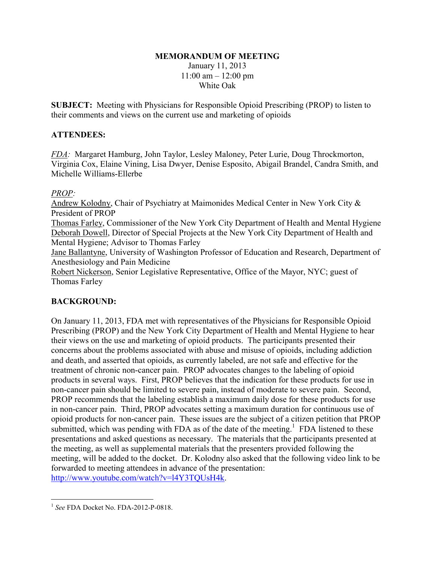#### **MEMORANDUM OF MEETING**

January 11, 2013  $11:00$  am  $-12:00$  pm White Oak

**SUBJECT:** Meeting with Physicians for Responsible Opioid Prescribing (PROP) to listen to their comments and views on the current use and marketing of opioids

### **ATTENDEES:**

*FDA:* Margaret Hamburg, John Taylor, Lesley Maloney, Peter Lurie, Doug Throckmorton, Virginia Cox, Elaine Vining, Lisa Dwyer, Denise Esposito, Abigail Brandel, Candra Smith, and Michelle Williams-Ellerbe

### *PROP:*

Andrew Kolodny, Chair of Psychiatry at Maimonides Medical Center in New York City & President of PROP

Thomas Farley, Commissioner of the New York City Department of Health and Mental Hygiene Deborah Dowell, Director of Special Projects at the New York City Department of Health and Mental Hygiene; Advisor to Thomas Farley

Jane Ballantyne, University of Washington Professor of Education and Research, Department of Anesthesiology and Pain Medicine

Robert Nickerson, Senior Legislative Representative, Office of the Mayor, NYC; guest of Thomas Farley

# **BACKGROUND:**

On January 11, 2013, FDA met with representatives of the Physicians for Responsible Opioid Prescribing (PROP) and the New York City Department of Health and Mental Hygiene to hear their views on the use and marketing of opioid products. The participants presented their concerns about the problems associated with abuse and misuse of opioids, including addiction and death, and asserted that opioids, as currently labeled, are not safe and effective for the treatment of chronic non-cancer pain. PROP advocates changes to the labeling of opioid products in several ways. First, PROP believes that the indication for these products for use in non-cancer pain should be limited to severe pain, instead of moderate to severe pain. Second, PROP recommends that the labeling establish a maximum daily dose for these products for use in non-cancer pain. Third, PROP advocates setting a maximum duration for continuous use of opioid products for non-cancer pain. These issues are the subject of a citizen petition that PROP submitted, which was pending with FDA as of the date of the meeting.<sup>1</sup> FDA listened to these presentations and asked questions as necessary. The materials that the participants presented at the meeting, as well as supplemental materials that the presenters provided following the meeting, will be added to the docket. Dr. Kolodny also asked that the following video link to be forwarded to meeting attendees in advance of the presentation: http://www.youtube.com/watch?v=l4Y3TQUsH4k.

 $\overline{a}$ 

<sup>1</sup> *See* FDA Docket No. FDA-2012-P-0818.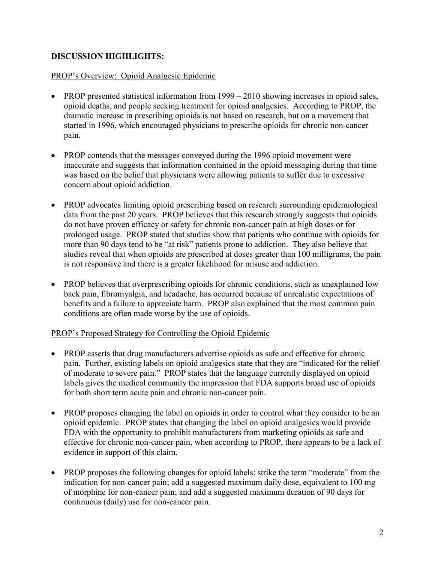## **DISCUSSION HIGHLIGHTS:**

#### PROP's Overview: Opioid Analgesic Epidemic

- PROP presented statistical information from 1999 2010 showing increases in opioid sales, opioid deaths, and people seeking treatment for opioid analgesics. According to PROP, the dramatic increase in prescribing opioids is not based on research, but on a movement that started in 1996, which encouraged physicians to prescribe opioids for chronic non-cancer pain.
- PROP contends that the messages conveyed during the 1996 opioid movement were inaccurate and suggests that information contained in the opioid messaging during that time was based on the belief that physicians were allowing patients to suffer due to excessive concern about opioid addiction.
- PROP advocates limiting opioid prescribing based on research surrounding epidemiological data from the past 20 years. PROP believes that this research strongly suggests that opioids do not have proven efficacy or safety for chronic non-cancer pain at high doses or for prolonged usage. PROP stated that studies show that patients who continue with opioids for more than 90 days tend to be "at risk" patients prone to addiction. They also believe that studies reveal that when opioids are prescribed at doses greater than 100 milligrams, the pain is not responsive and there is a greater likelihood for misuse and addiction.
- PROP believes that overprescribing opioids for chronic conditions, such as unexplained low back pain, fibromyalgia, and headache, has occurred because of unrealistic expectations of benefits and a failure to appreciate harm. PROP also explained that the most common pain conditions are often made worse by the use of opioids.

### PROP's Proposed Strategy for Controlling the Opioid Epidemic

- PROP asserts that drug manufacturers advertise opioids as safe and effective for chronic pain. Further, existing labels on opioid analgesics state that they are "indicated for the relief of moderate to severe pain." PROP states that the language currently displayed on opioid labels gives the medical community the impression that FDA supports broad use of opioids for both short term acute pain and chronic non-cancer pain.
- PROP proposes changing the label on opioids in order to control what they consider to be an opioid epidemic. PROP states that changing the label on opioid analgesics would provide FDA with the opportunity to prohibit manufacturers from marketing opioids as safe and effective for chronic non-cancer pain, when according to PROP, there appears to be a lack of evidence in support of this claim.
- PROP proposes the following changes for opioid labels: strike the term "moderate" from the indication for non-cancer pain; add a suggested maximum daily dose, equivalent to 100 mg of morphine for non-cancer pain; and add a suggested maximum duration of 90 days for continuous (daily) use for non-cancer pain.